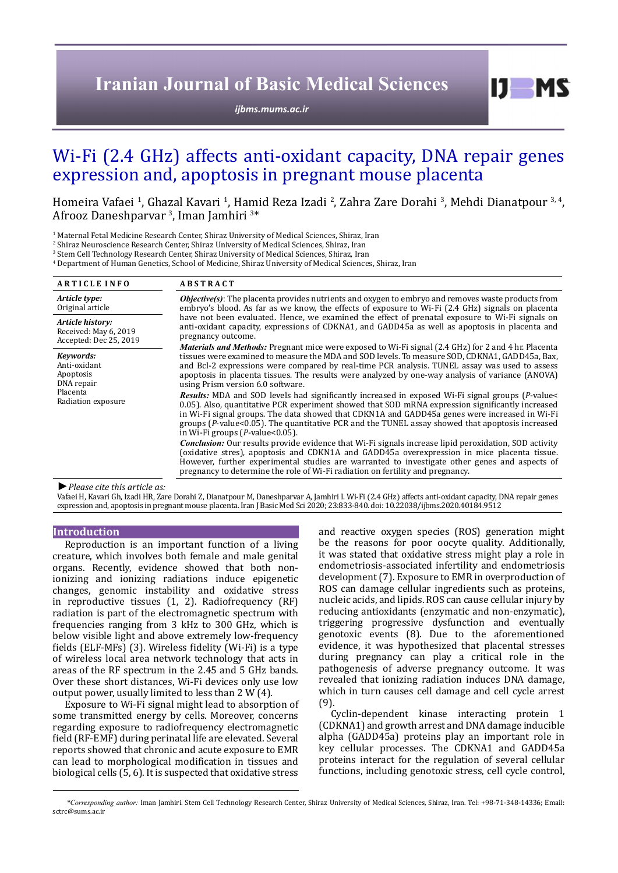# **Iranian Journal of Basic Medical Sciences**

*[ijbms.mums.ac.ir](http://ijbms.mums.ac.ir)*

# Wi-Fi (2.4 GHz) affects anti-oxidant capacity, DNA repair genes expression and, apoptosis in pregnant mouse placenta

Homeira Vafaei<sup>-1</sup>, Ghazal Kavari<sup>-1</sup>, Hamid Reza Izadi<sup>-2</sup>, Zahra Zare Dorahi<sup>-3</sup>, Mehdi Dianatpour<sup>-3, 4</sup>, Afrooz Daneshparvar <sup>3</sup>, Iman Jamhiri <sup>3\*</sup>

<sup>1</sup> Maternal Fetal Medicine Research Center, Shiraz University of Medical Sciences, Shiraz, Iran<br>.

<sup>2</sup> Shiraz Neuroscience Research Center, Shiraz University of Medical Sciences, Shiraz, Iran

3 Stem Cell Technology Research Center, Shiraz University of Medical Sciences, Shiraz, Iran

4 Department of Human Genetics, School of Medicine, Shiraz University of Medical Sciences, Shiraz, Iran

| <b>ARTICLE INFO</b>                                                                    | <b>ABSTRACT</b>                                                                                                                                                                                                                                                                                                                                                                                                                                                                                                                                                                                                                                                                                                                                                                                                                                                                                                |  |
|----------------------------------------------------------------------------------------|----------------------------------------------------------------------------------------------------------------------------------------------------------------------------------------------------------------------------------------------------------------------------------------------------------------------------------------------------------------------------------------------------------------------------------------------------------------------------------------------------------------------------------------------------------------------------------------------------------------------------------------------------------------------------------------------------------------------------------------------------------------------------------------------------------------------------------------------------------------------------------------------------------------|--|
| Article type:<br>Original article                                                      | <b>Objective(s)</b> : The placenta provides nutrients and oxygen to embryo and removes waste products from<br>embryo's blood. As far as we know, the effects of exposure to Wi-Fi (2.4 GHz) signals on placenta<br>have not been evaluated. Hence, we examined the effect of prenatal exposure to Wi-Fi signals on<br>anti-oxidant capacity, expressions of CDKNA1, and GADD45a as well as apoptosis in placenta and<br>pregnancy outcome.                                                                                                                                                                                                                                                                                                                                                                                                                                                                     |  |
| Article history:<br>Received: May 6, 2019<br>Accepted: Dec 25, 2019                    |                                                                                                                                                                                                                                                                                                                                                                                                                                                                                                                                                                                                                                                                                                                                                                                                                                                                                                                |  |
| Kevwords:<br>Anti-oxidant<br>Apoptosis<br>DNA repair<br>Placenta<br>Radiation exposure | <i>Materials and Methods</i> : Pregnant mice were exposed to Wi-Fi signal (2.4 GHz) for 2 and 4 hr. Placenta<br>tissues were examined to measure the MDA and SOD levels. To measure SOD, CDKNA1, GADD45a, Bax,<br>and Bcl-2 expressions were compared by real-time PCR analysis. TUNEL assay was used to assess<br>apoptosis in placenta tissues. The results were analyzed by one-way analysis of variance (ANOVA)<br>using Prism version 6.0 software.<br>Results: MDA and SOD levels had significantly increased in exposed Wi-Fi signal groups (P-value<<br>0.05). Also, quantitative PCR experiment showed that SOD mRNA expression significantly increased<br>in Wi-Fi signal groups. The data showed that CDKN1A and GADD45a genes were increased in Wi-Fi<br>groups (P-value<0.05). The quantitative PCR and the TUNEL assay showed that apoptosis increased<br>in Wi-Fi groups $(P$ -value< $0.05$ ). |  |
|                                                                                        | <i>Conclusion:</i> Our results provide evidence that Wi-Fi signals increase lipid peroxidation, SOD activity<br>(oxidative stres), apoptosis and CDKN1A and GADD45a overexpression in mice placenta tissue.<br>However, further experimental studies are warranted to investigate other genes and aspects of<br>pregnancy to determine the role of Wi-Fi radiation on fertility and pregnancy.                                                                                                                                                                                                                                                                                                                                                                                                                                                                                                                 |  |

*►Please cite this article as:*

Vafaei H, Kavari Gh, Izadi HR, Zare Dorahi Z, Dianatpour M, Daneshparvar A, Jamhiri I. Wi-Fi (2.4 GHz) affects anti-oxidant capacity, DNA repair genes expression and, apoptosis in pregnant mouse placenta. Iran J Basic Med Sci 2020; 23:833-840. doi: 10.22038/ijbms.2020.40184.9512

### **Introduction**

Reproduction is an important function of a living creature, which involves both female and male genital organs. Recently, evidence showed that both nonionizing and ionizing radiations induce epigenetic changes, genomic instability and oxidative stress in reproductive tissues (1, 2). Radiofrequency (RF) radiation is part of the electromagnetic spectrum with frequencies ranging from 3 kHz to 300 GHz, which is below visible light and above extremely low-frequency fields (ELF-MFs) (3). Wireless fidelity (Wi-Fi) is a type of wireless local area network technology that acts in areas of the RF spectrum in the 2.45 and 5 GHz bands. Over these short distances, Wi-Fi devices only use low output power, usually limited to less than 2 W (4).

Exposure to Wi-Fi signal might lead to absorption of some transmitted energy by cells. Moreover, concerns regarding exposure to radiofrequency electromagnetic field (RF-EMF) during perinatal life are elevated. Several reports showed that chronic and acute exposure to EMR can lead to morphological modification in tissues and biological cells (5, 6). It is suspected that oxidative stress

and reactive oxygen species (ROS) generation might be the reasons for poor oocyte quality. Additionally, it was stated that oxidative stress might play a role in endometriosis-associated infertility and endometriosis development (7). Exposure to EMR in overproduction of ROS can damage cellular ingredients such as proteins, nucleic acids, and lipids. ROS can cause cellular injury by reducing antioxidants (enzymatic and non-enzymatic), triggering progressive dysfunction and eventually genotoxic events (8). Due to the aforementioned evidence, it was hypothesized that placental stresses during pregnancy can play a critical role in the pathogenesis of adverse pregnancy outcome. It was revealed that ionizing radiation induces DNA damage, which in turn causes cell damage and cell cycle arrest (9).

 $I$   $I$   $M$   $S$ 

Cyclin-dependent kinase interacting protein 1 (CDKNA1) and growth arrest and DNA damage inducible alpha (GADD45a) proteins play an important role in key cellular processes. The CDKNA1 and GADD45a proteins interact for the regulation of several cellular functions, including genotoxic stress, cell cycle control,

*\*Corresponding author:* Iman Jamhiri. Stem Cell Technology Research Center, Shiraz University of Medical Sciences, Shiraz, Iran. Tel: +98-71-348-14336; Email: sctrc@sums.ac.ir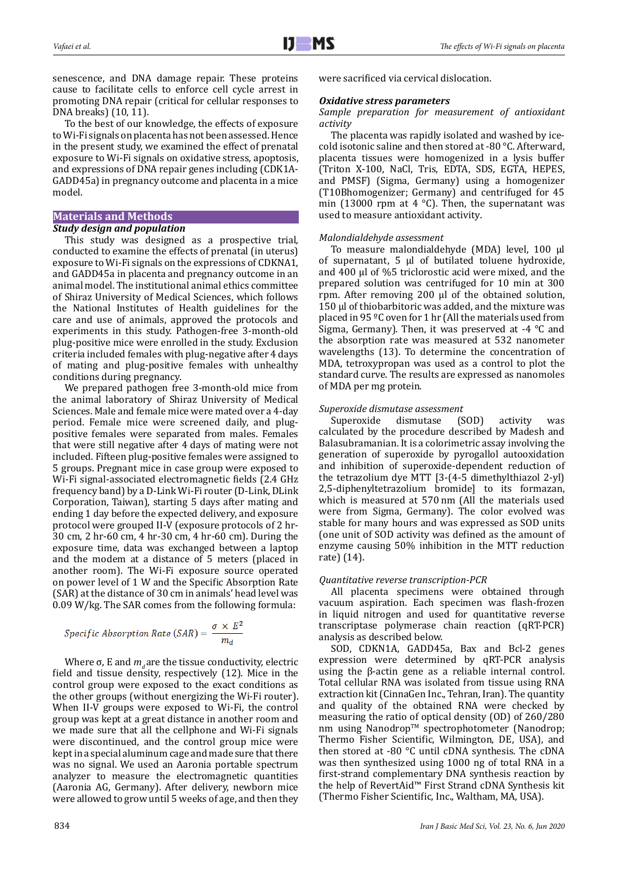senescence, and DNA damage repair. These proteins cause to facilitate cells to enforce cell cycle arrest in promoting DNA repair (critical for cellular responses to DNA breaks) (10, 11).

To the best of our knowledge, the effects of exposure to Wi-Fi signals on placenta has not been assessed. Hence in the present study, we examined the effect of prenatal exposure to Wi-Fi signals on oxidative stress, apoptosis, and expressions of DNA repair genes including (CDK1A-GADD45a) in pregnancy outcome and placenta in a mice model.

## **Materials and Methods**

## *Study design and population*

This study was designed as a prospective trial, conducted to examine the effects of prenatal (in uterus) exposure to Wi-Fi signals on the expressions of CDKNA1, and GADD45a in placenta and pregnancy outcome in an animal model. The institutional animal ethics committee of Shiraz University of Medical Sciences, which follows the National Institutes of Health guidelines for the care and use of animals, approved the protocols and experiments in this study. Pathogen-free 3-month-old plug-positive mice were enrolled in the study. Exclusion criteria included females with plug-negative after 4 days of mating and plug-positive females with unhealthy conditions during pregnancy.

We prepared pathogen free 3-month-old mice from the animal laboratory of Shiraz University of Medical Sciences. Male and female mice were mated over a 4-day period. Female mice were screened daily, and plugpositive females were separated from males. Females that were still negative after 4 days of mating were not included. Fifteen plug-positive females were assigned to 5 groups. Pregnant mice in case group were exposed to Wi-Fi signal-associated electromagnetic fields (2.4 GHz frequency band) by a D-Link Wi-Fi router (D-Link, DLink Corporation, Taiwan), starting 5 days after mating and ending 1 day before the expected delivery, and exposure protocol were grouped II-V (exposure protocols of 2 hr-30 cm, 2 hr-60 cm, 4 hr-30 cm, 4 hr-60 cm). During the exposure time, data was exchanged between a laptop and the modem at a distance of 5 meters (placed in another room). The Wi-Fi exposure source operated on power level of 1 W and the Specific Absorption Rate (SAR) at the distance of 30 cm in animals' head level was 0.09 W/kg. The SAR comes from the following formula:

$$
Specific\ Absorption\ Rate\ (SAR) = \frac{\sigma \times E^2}{m_d}
$$

Where  $\sigma$ , E and  $m<sub>d</sub>$  are the tissue conductivity, electric field and tissue density, respectively (12). Mice in the control group were exposed to the exact conditions as the other groups (without energizing the Wi-Fi router). When II-V groups were exposed to Wi-Fi, the control group was kept at a great distance in another room and we made sure that all the cellphone and Wi-Fi signals were discontinued, and the control group mice were kept in a special aluminum cage and made sure that there was no signal. We used an Aaronia portable spectrum analyzer to measure the electromagnetic quantities (Aaronia AG, Germany). After delivery, newborn mice were allowed to grow until 5 weeks of age, and then they were sacrificed via cervical dislocation.

## *Oxidative stress parameters*

## *Sample preparation for measurement of antioxidant activity*

The placenta was rapidly isolated and washed by icecold isotonic saline and then stored at -80 °C. Afterward, placenta tissues were homogenized in a lysis buffer (Triton X-100, NaCl, Tris, EDTA, SDS, EGTA, HEPES, and PMSF) (Sigma, Germany) using a homogenizer (T10Bhomogenizer; Germany) and centrifuged for 45 min (13000 rpm at 4  $^{\circ}$ C). Then, the supernatant was used to measure antioxidant activity.

## *Malondialdehyde assessment*

To measure malondialdehyde (MDA) level, 100 µl of supernatant, 5 µl of butilated toluene hydroxide, and 400 µl of %5 triclorostic acid were mixed, and the prepared solution was centrifuged for 10 min at 300 rpm. After removing 200 µl of the obtained solution, 150 µl of thiobarbitoric was added, and the mixture was placed in 95 ºC oven for 1 hr (All the materials used from Sigma, Germany). Then, it was preserved at -4 °C and the absorption rate was measured at 532 nanometer wavelengths (13). To determine the concentration of MDA, tetroxypropan was used as a control to plot the standard curve. The results are expressed as nanomoles of MDA per mg protein.

## *Superoxide dismutase assessment*

Superoxide dismutase (SOD) activity was calculated by the procedure described by Madesh and Balasubramanian. It is a colorimetric assay involving the generation of superoxide by pyrogallol autooxidation and inhibition of superoxide-dependent reduction of the tetrazolium dye MTT [3-(4-5 dimethylthiazol 2-yl) 2,5-diphenyltetrazolium bromide] to its formazan, which is measured at 570 nm (All the materials used were from Sigma, Germany). The color evolved was stable for many hours and was expressed as SOD units (one unit of SOD activity was defined as the amount of enzyme causing 50% inhibition in the MTT reduction rate) (14).

## *Quantitative reverse transcription-PCR*

All placenta specimens were obtained through vacuum aspiration. Each specimen was flash-frozen in liquid nitrogen and used for quantitative reverse transcriptase polymerase chain reaction (qRT-PCR) analysis as described below.

SOD, CDKN1A, GADD45a, Bax and Bcl-2 genes expression were determined by qRT-PCR analysis using the β-actin gene as a reliable internal control. Total cellular RNA was isolated from tissue using RNA extraction kit (CinnaGen Inc., Tehran, Iran). The quantity and quality of the obtained RNA were checked by measuring the ratio of optical density (OD) of 260/280 nm using Nanodrop™ spectrophotometer (Nanodrop; Thermo Fisher Scientific, Wilmington, DE, USA), and then stored at -80 °C until cDNA synthesis. The cDNA was then synthesized using 1000 ng of total RNA in a first-strand complementary DNA synthesis reaction by the help of RevertAid™ First Strand cDNA Synthesis kit (Thermo Fisher Scientific, Inc., Waltham, MA, USA).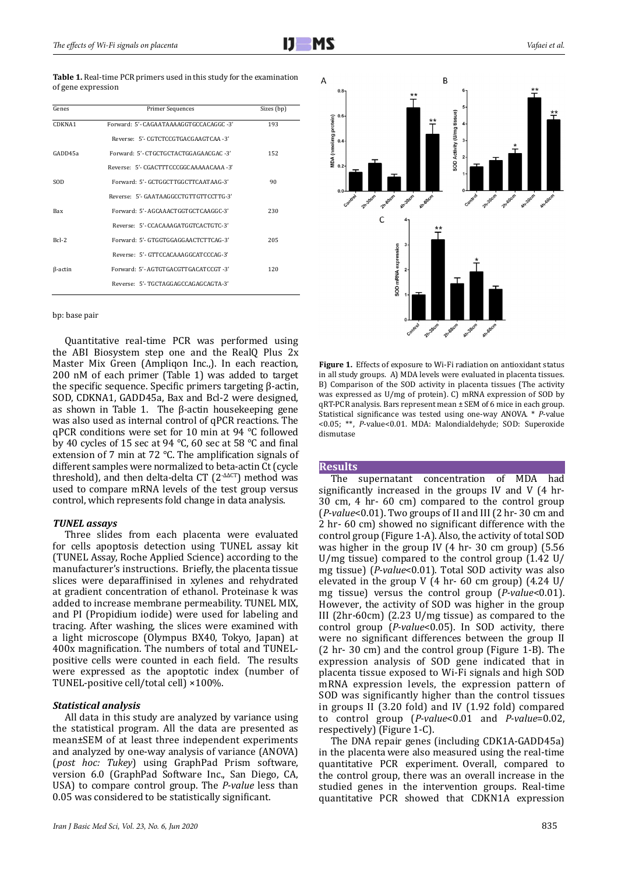| <b>Table 1.</b> Real-time PCR primers used in this study for the examination |
|------------------------------------------------------------------------------|
| of gene expression                                                           |

| Genes          | <b>Primer Sequences</b>                 | Sizes (bp) |
|----------------|-----------------------------------------|------------|
| CDKNA1         | Forward: 5'- CAGAATAAAAGGTGCCACAGGC -3' | 193        |
|                | Reverse: 5'- CGTCTCCGTGACGAAGTCAA -3'   |            |
| GADD45a        | Forward: 5'- CTGCTGCTACTGGAGAACGAC -3'  | 152        |
|                | Reverse: 5'- CGACTTTCCCGGCAAAAACAAA -3' |            |
| SOD            | Forward: 5'- GCTGGCTTGGCTTCAATAAG-3'    | 90         |
|                | Reverse: 5'- GAATAAGGCCTGTTGTTCCTTG-3'  |            |
| <b>Bax</b>     | Forward: 5'-AGCAAACTGGTGCTCAAGGC-3'     | 230        |
|                | Reverse: 5'- CCACAAAGATGGTCACTGTC-3'    |            |
| $Rcl-2$        | Forward: 5'- GTGGTGGAGGAACTCTTCAG-3'    | 205        |
|                | Reverse: 5'- GTTCCACAAAGGCATCCCAG-3'    |            |
| $\beta$ -actin | Forward: 5'-AGTGTGACGTTGACATCCGT-3'     | 120        |
|                | Reverse: 5'-TGCTAGGAGCCAGAGCAGTA-3'     |            |

bp: base pair

Quantitative real-time PCR was performed using the ABI Biosystem step one and the RealO Plus  $2x$ Master Mix Green (Ampliqon Inc.,). In each reaction, 200 nM of each primer (Table 1) was added to target the specific sequence. Specific primers targeting β-actin, SOD, CDKNA1, GADD45a, Bax and Bcl-2 were designed, as shown in Table 1. The β-actin housekeeping gene was also used as internal control of qPCR reactions. The qPCR conditions were set for 10 min at 94 °C followed by 40 cycles of 15 sec at 94 °C, 60 sec at 58 °C and final extension of 7 min at 72 °C. The amplification signals of different samples were normalized to beta-actin Ct (cycle threshold), and then delta-delta CT (2<sup>-∆∆CT</sup>) method was used to compare mRNA levels of the test group versus control, which represents fold change in data analysis.

#### *TUNEL assays*

Three slides from each placenta were evaluated for cells apoptosis detection using TUNEL assay kit (TUNEL Assay, Roche Applied Science) according to the manufacturer's instructions. Briefly, the placenta tissue slices were deparaffinised in xylenes and rehydrated at gradient concentration of ethanol. Proteinase k was added to increase membrane permeability. TUNEL MIX, and PI (Propidium iodide) were used for labeling and tracing. After washing, the slices were examined with a light microscope (Olympus BX40, Tokyo, Japan) at 400x magnification. The numbers of total and TUNELpositive cells were counted in each field. The results were expressed as the apoptotic index (number of TUNEL-positive cell/total cell) ×100%.

## *Statistical analysis*

All data in this study are analyzed by variance using the statistical program. All the data are presented as mean±SEM of at least three independent experiments and analyzed by one-way analysis of variance (ANOVA) (*post hoc: Tukey*) using GraphPad Prism software, version 6.0 (GraphPad Software Inc., San Diego, CA, USA) to compare control group. The *P-value* less than 0.05 was considered to be statistically significant.

**Figure 1.** Effects of exposure to Wi-Fi radiation on antioxidant status in all study groups. A) MDA levels were evaluated in placenta tissues. B) Comparison of the SOD activity in placenta tissues (The activity was expressed as U/mg of protein). C) mRNA expression of SOD by qRT-PCR analysis. Bars represent mean ± SEM of 6 mice in each group. Statistical significance was tested using one-way ANOVA. \* *P*-value <0.05; \*\*, *P*-value<0.01. MDA: Malondialdehyde; SOD: Superoxide dismutase

#### **Results**

The supernatant concentration of MDA had significantly increased in the groups IV and V (4 hr-30 cm, 4 hr- 60 cm) compared to the control group (*P-value*<0.01). Two groups of II and III (2 hr- 30 cm and 2 hr- 60 cm) showed no significant difference with the control group (Figure 1-A). Also, the activity of total SOD was higher in the group IV (4 hr- 30 cm group) (5.56 U/mg tissue) compared to the control group (1.42 U/ mg tissue) (*P-value*<0.01). Total SOD activity was also elevated in the group V  $(4 \text{ hr} - 60 \text{ cm} \text{ group})$   $(4.24 \text{ U})$ mg tissue) versus the control group (*P-value*<0.01). However, the activity of SOD was higher in the group III (2hr-60cm) (2.23 U/mg tissue) as compared to the control group (*P-value*<0.05). In SOD activity, there were no significant differences between the group II (2 hr- 30 cm) and the control group (Figure 1-B). The expression analysis of SOD gene indicated that in placenta tissue exposed to Wi-Fi signals and high SOD mRNA expression levels, the expression pattern of SOD was significantly higher than the control tissues in groups II (3.20 fold) and IV (1.92 fold) compared to control group (*P-value*<0.01 and *P-value*=0.02, respectively) (Figure 1-C).

The DNA repair genes (including CDK1A-GADD45a) in the placenta were also measured using the real-time quantitative PCR experiment. Overall, compared to the control group, there was an overall increase in the studied genes in the intervention groups. Real-time quantitative PCR showed that CDKN1A expression

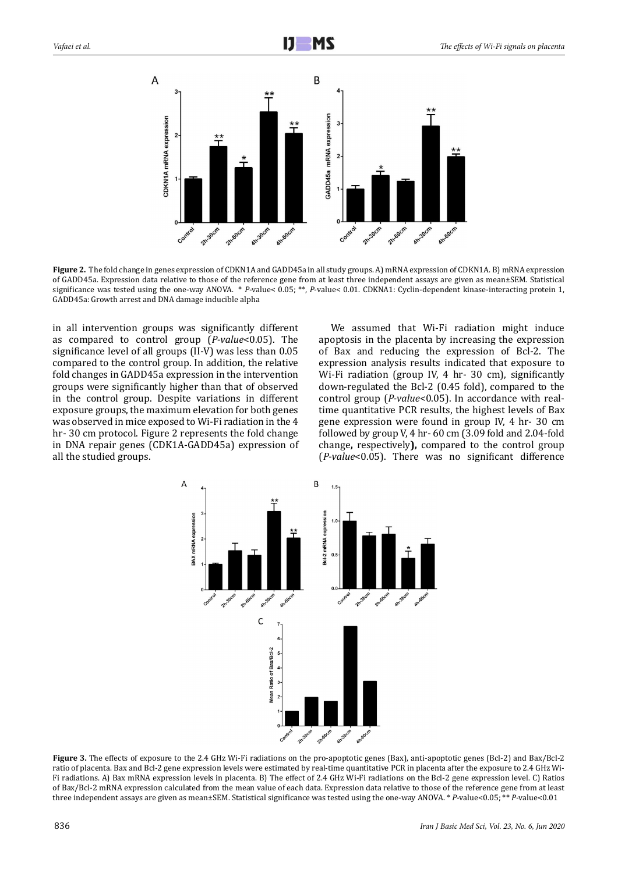

**Figure 2.** The fold change in genes expression of CDKN1A and GADD45a in all study groups. A) mRNA expression of CDKN1A. B) mRNA expression of GADD45a. Expression data relative to those of the reference gene from at least three independent assays are given as mean±SEM. Statistical significance was tested using the one-way ANOVA. \* *P*-value< 0.05; \*\*, *P*-value< 0.01. CDKNA1: Cyclin-dependent kinase-interacting protein 1, GADD45a: Growth arrest and DNA damage inducible alpha

in all intervention groups was significantly different as compared to control group (*P-value*<0.05). The significance level of all groups (II-V) was less than 0.05 compared to the control group. In addition, the relative fold changes in GADD45a expression in the intervention groups were significantly higher than that of observed in the control group. Despite variations in different exposure groups, the maximum elevation for both genes was observed in mice exposed to Wi-Fi radiation in the 4 hr- 30 cm protocol. Figure 2 represents the fold change in DNA repair genes (CDK1A-GADD45a) expression of all the studied groups.

We assumed that Wi-Fi radiation might induce apoptosis in the placenta by increasing the expression of Bax and reducing the expression of Bcl-2. The expression analysis results indicated that exposure to Wi-Fi radiation (group IV, 4 hr- 30 cm), significantly down-regulated the Bcl-2 (0.45 fold), compared to the control group (*P-value*<0.05). In accordance with realtime quantitative PCR results, the highest levels of Bax gene expression were found in group IV, 4 hr- 30 cm followed by group V, 4 hr- 60 cm (3.09 fold and 2.04-fold change**,** respectively**),** compared to the control group (*P-value*<0.05). There was no significant difference



**Figure 3.** The effects of exposure to the 2.4 GHz Wi-Fi radiations on the pro-apoptotic genes (Bax), anti-apoptotic genes (Bcl-2) and Bax/Bcl-2 ratio of placenta. Bax and Bcl-2 gene expression levels were estimated by real-time quantitative PCR in placenta after the exposure to 2.4 GHz Wi-Fi radiations. A) Bax mRNA expression levels in placenta. B) The effect of 2.4 GHz Wi-Fi radiations on the Bcl-2 gene expression level. C) Ratios of Bax/Bcl-2 mRNA expression calculated from the mean value of each data. Expression data relative to those of the reference gene from at least three independent assays are given as mean±SEM. Statistical significance was tested using the one-way ANOVA. \* *P*-value<0.05; \*\* *P*-value<0.01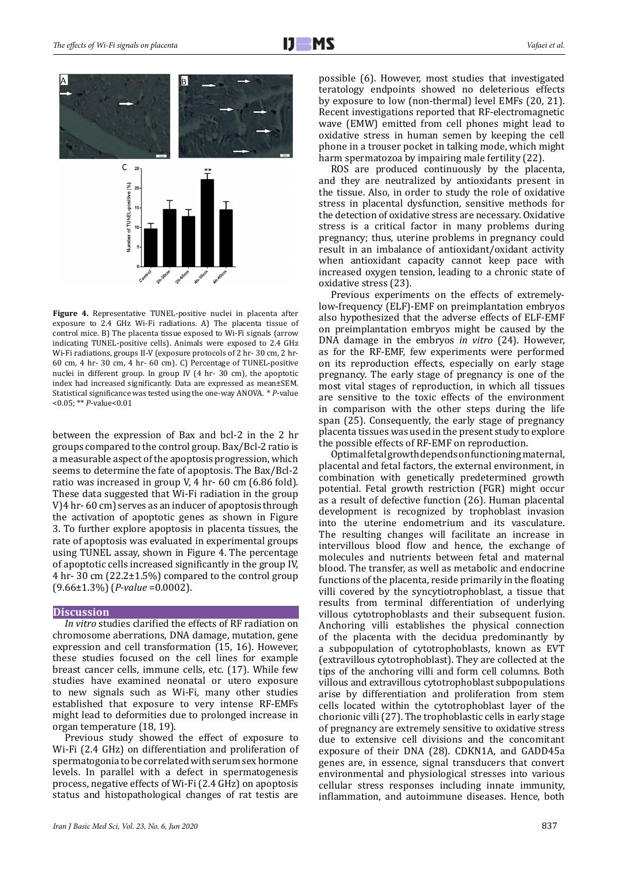

**Figure 4.** Representative TUNEL-positive nuclei in placenta after exposure to 2.4 GHz Wi-Fi radiations. A) The placenta tissue of control mice. B) The placenta tissue exposed to Wi-Fi signals (arrow indicating TUNEL-positive cells). Animals were exposed to 2.4 GHz Wi-Fi radiations, groups II-V (exposure protocols of 2 hr- 30 cm, 2 hr-60 cm, 4 hr- 30 cm, 4 hr- 60 cm). C) Percentage of TUNEL-positive nuclei in different group. In group IV (4 hr- 30 cm), the apoptotic index had increased significantly. Data are expressed as mean±SEM. Statistical significance was tested using the one-way ANOVA. \* *P*-value <0.05; \*\* *P*-value<0.01

between the expression of Bax and bcl-2 in the 2 hr groups compared to the control group. Bax/Bcl-2 ratio is a measurable aspect of the apoptosis progression, which seems to determine the fate of apoptosis. The Bax/Bcl-2 ratio was increased in group V, 4 hr- 60 cm (6.86 fold). These data suggested that Wi-Fi radiation in the group V)4 hr- 60 cm) serves as an inducer of apoptosis through the activation of apoptotic genes as shown in Figure 3. To further explore apoptosis in placenta tissues, the rate of apoptosis was evaluated in experimental groups using TUNEL assay, shown in Figure 4. The percentage of apoptotic cells increased significantly in the group IV,  $4$  hr- 30 cm (22.2 $\pm$ 1.5%) compared to the control group (9.66±1.3%) (*P-value* =0.0002).

## **Discussion**

*In vitro* studies clarified the effects of RF radiation on chromosome aberrations, DNA damage, mutation, gene expression and cell transformation (15, 16). However, these studies focused on the cell lines for example breast cancer cells, immune cells, etc. (17). While few studies have examined neonatal or utero exposure to new signals such as Wi-Fi, many other studies established that exposure to very intense RF-EMFs might lead to deformities due to prolonged increase in organ temperature (18, 19).

Previous study showed the effect of exposure to Wi-Fi (2.4 GHz) on differentiation and proliferation of spermatogonia to be correlated with serum sex hormone levels. In parallel with a defect in spermatogenesis process, negative effects of Wi-Fi (2.4 GHz) on apoptosis status and histopathological changes of rat testis are

possible (6). However, most studies that investigated teratology endpoints showed no deleterious effects by exposure to low (non-thermal) level EMFs (20, 21). Recent investigations reported that RF-electromagnetic wave (EMW) emitted from cell phones might lead to oxidative stress in human semen by keeping the cell phone in a trouser pocket in talking mode, which might harm spermatozoa by impairing male fertility (22).

ROS are produced continuously by the placenta, and they are neutralized by antioxidants present in the tissue. Also, in order to study the role of oxidative stress in placental dysfunction, sensitive methods for the detection of oxidative stress are necessary. Oxidative stress is a critical factor in many problems during pregnancy; thus, uterine problems in pregnancy could result in an imbalance of antioxidant/oxidant activity when antioxidant capacity cannot keep pace with increased oxygen tension, leading to a chronic state of oxidative stress (23).

Previous experiments on the effects of extremelylow-frequency (ELF)-EMF on preimplantation embryos also hypothesized that the adverse effects of ELF-EMF on preimplantation embryos might be caused by the DNA damage in the embryos *in vitro* (24). However, as for the RF-EMF, few experiments were performed on its reproduction effects, especially on early stage pregnancy. The early stage of pregnancy is one of the most vital stages of reproduction, in which all tissues are sensitive to the toxic effects of the environment in comparison with the other steps during the life span (25). Consequently, the early stage of pregnancy placenta tissues was used in the present study to explore the possible effects of RF-EMF on reproduction.

Optimal fetal growth depends on functioning maternal, placental and fetal factors, the external environment, in combination with genetically predetermined growth potential. Fetal growth restriction (FGR) might occur as a result of defective function (26). Human placental development is recognized by trophoblast invasion into the uterine endometrium and its vasculature. The resulting changes will facilitate an increase in intervillous blood flow and hence, the exchange of molecules and nutrients between fetal and maternal blood. The transfer, as well as metabolic and endocrine functions of the placenta, reside primarily in the floating villi covered by the syncytiotrophoblast, a tissue that results from terminal differentiation of underlying villous cytotrophoblasts and their subsequent fusion. Anchoring villi establishes the physical connection of the placenta with the decidua predominantly by a subpopulation of cytotrophoblasts, known as EVT (extravillous cytotrophoblast). They are collected at the tips of the anchoring villi and form cell columns. Both villous and extravillous cytotrophoblast subpopulations arise by differentiation and proliferation from stem cells located within the cytotrophoblast layer of the chorionic villi (27). The trophoblastic cells in early stage of pregnancy are extremely sensitive to oxidative stress due to extensive cell divisions and the concomitant exposure of their DNA (28). CDKN1A, and GADD45a genes are, in essence, signal transducers that convert environmental and physiological stresses into various cellular stress responses including innate immunity, inflammation, and autoimmune diseases. Hence, both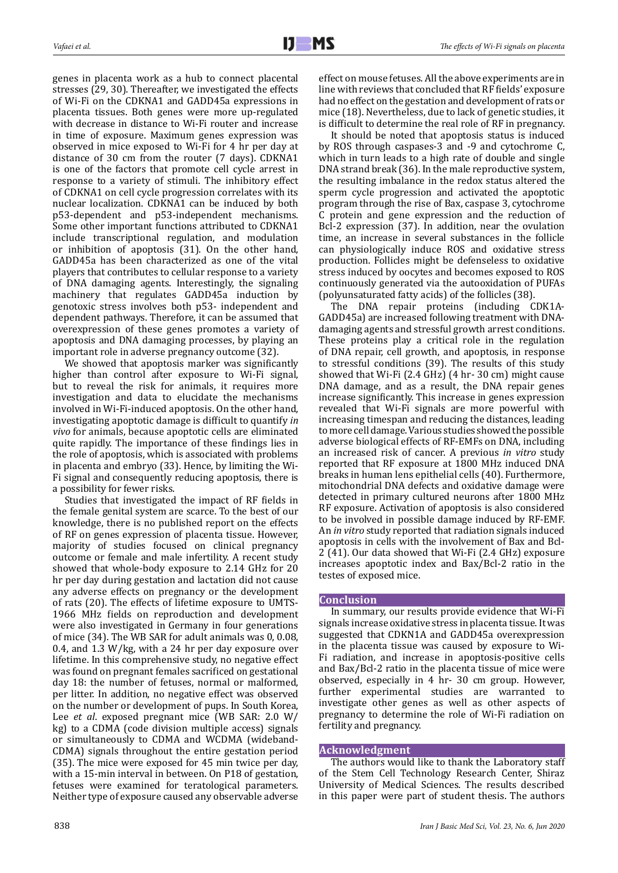genes in placenta work as a hub to connect placental stresses (29, 30). Thereafter, we investigated the effects of Wi-Fi on the CDKNA1 and GADD45a expressions in placenta tissues. Both genes were more up-regulated with decrease in distance to Wi-Fi router and increase in time of exposure. Maximum genes expression was observed in mice exposed to Wi-Fi for 4 hr per day at distance of 30 cm from the router (7 days). CDKNA1 is one of the factors that promote cell cycle arrest in response to a variety of stimuli. The inhibitory effect of CDKNA1 on cell cycle progression correlates with its nuclear localization. CDKNA1 can be induced by both p53-dependent and p53-independent mechanisms. Some other important functions attributed to CDKNA1 include transcriptional regulation, and modulation or inhibition of apoptosis (31). On the other hand, GADD45a has been characterized as one of the vital players that contributes to cellular response to a variety of DNA damaging agents. Interestingly, the signaling machinery that regulates GADD45a induction by genotoxic stress involves both p53- independent and dependent pathways. Therefore, it can be assumed that overexpression of these genes promotes a variety of apoptosis and DNA damaging processes, by playing an important role in adverse pregnancy outcome (32).

We showed that apoptosis marker was significantly higher than control after exposure to Wi-Fi signal, but to reveal the risk for animals, it requires more investigation and data to elucidate the mechanisms involved in Wi-Fi-induced apoptosis. On the other hand, investigating apoptotic damage is difficult to quantify *in vivo* for animals, because apoptotic cells are eliminated quite rapidly. The importance of these findings lies in the role of apoptosis, which is associated with problems in placenta and embryo (33). Hence, by limiting the Wi-Fi signal and consequently reducing apoptosis, there is a possibility for fewer risks.

Studies that investigated the impact of RF fields in the female genital system are scarce. To the best of our knowledge, there is no published report on the effects of RF on genes expression of placenta tissue. However, majority of studies focused on clinical pregnancy outcome or female and male infertility. A recent study showed that whole-body exposure to 2.14 GHz for 20 hr per day during gestation and lactation did not cause any adverse effects on pregnancy or the development of rats (20). The effects of lifetime exposure to UMTS-1966 MHz fields on reproduction and development were also investigated in Germany in four generations of mice (34). The WB SAR for adult animals was 0, 0.08, 0.4, and 1.3 W/kg, with a 24 hr per day exposure over lifetime. In this comprehensive study, no negative effect was found on pregnant females sacrificed on gestational day 18: the number of fetuses, normal or malformed, per litter. In addition, no negative effect was observed on the number or development of pups. In South Korea, Lee *et al*. exposed pregnant mice (WB SAR: 2.0 W/ kg) to a CDMA (code division multiple access) signals or simultaneously to CDMA and WCDMA (wideband-CDMA) signals throughout the entire gestation period (35). The mice were exposed for 45 min twice per day, with a 15-min interval in between. On P18 of gestation, fetuses were examined for teratological parameters. Neither type of exposure caused any observable adverse

It should be noted that apoptosis status is induced by ROS through caspases-3 and -9 and cytochrome C, which in turn leads to a high rate of double and single DNA strand break (36). In the male reproductive system,

the resulting imbalance in the redox status altered the sperm cycle progression and activated the apoptotic program through the rise of Bax, caspase 3, cytochrome C protein and gene expression and the reduction of Bcl-2 expression (37). In addition, near the ovulation time, an increase in several substances in the follicle can physiologically induce ROS and oxidative stress production. Follicles might be defenseless to oxidative stress induced by oocytes and becomes exposed to ROS continuously generated via the autooxidation of PUFAs (polyunsaturated fatty acids) of the follicles (38).

effect on mouse fetuses. All the above experiments are in line with reviews that concluded that RF fields' exposure had no effect on the gestation and development of rats or mice (18). Nevertheless, due to lack of genetic studies, it is difficult to determine the real role of RF in pregnancy.

The DNA repair proteins (including CDK1A-GADD45a) are increased following treatment with DNAdamaging agents and stressful growth arrest conditions. These proteins play a critical role in the regulation of DNA repair, cell growth, and apoptosis, in response to stressful conditions (39). The results of this study showed that Wi-Fi (2.4 GHz) (4 hr- 30 cm) might cause DNA damage, and as a result, the DNA repair genes increase significantly. This increase in genes expression revealed that Wi-Fi signals are more powerful with increasing timespan and reducing the distances, leading to more cell damage. Various studies showed the possible adverse biological effects of RF-EMFs on DNA, including an increased risk of cancer. A previous *in vitro* study reported that RF exposure at 1800 MHz induced DNA breaks in human lens epithelial cells (40). Furthermore, mitochondrial DNA defects and oxidative damage were detected in primary cultured neurons after 1800 MHz RF exposure. Activation of apoptosis is also considered to be involved in possible damage induced by RF-EMF. An *in vitro* study reported that radiation signals induced apoptosis in cells with the involvement of Bax and Bcl-2 (41). Our data showed that Wi-Fi (2.4 GHz) exposure increases apoptotic index and Bax/Bcl-2 ratio in the testes of exposed mice.

## **Conclusion**

In summary, our results provide evidence that Wi-Fi signals increase oxidative stress in placenta tissue. It was suggested that CDKN1A and GADD45a overexpression in the placenta tissue was caused by exposure to Wi-Fi radiation, and increase in apoptosis-positive cells and Bax/Bcl-2 ratio in the placenta tissue of mice were observed, especially in 4 hr- 30 cm group. However, further experimental studies are warranted to investigate other genes as well as other aspects of pregnancy to determine the role of Wi-Fi radiation on fertility and pregnancy.

## **Acknowledgment**

The authors would like to thank the Laboratory staff of the Stem Cell Technology Research Center, Shiraz University of Medical Sciences. The results described in this paper were part of student thesis. The authors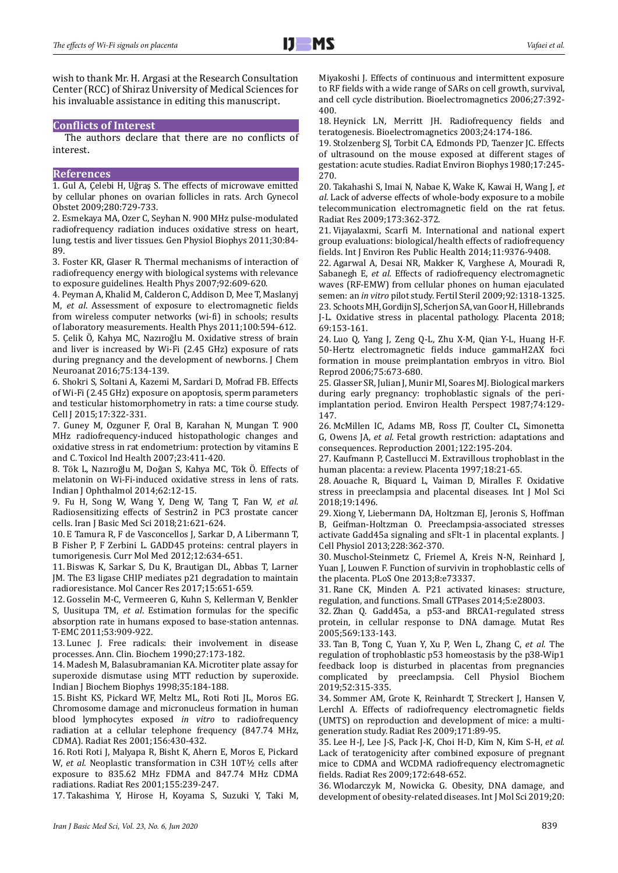wish to thank Mr. H. Argasi at the Research Consultation Center (RCC) of Shiraz University of Medical Sciences for his invaluable assistance in editing this manuscript.

## **Conflicts of Interest**

The authors declare that there are no conflicts of interest.

## **References**

1. Gul A, Çelebi H, Uğraş S. The effects of microwave emitted by cellular phones on ovarian follicles in rats. Arch Gynecol Obstet 2009;280:729-733.

2. Esmekaya MA, Ozer C, Seyhan N. 900 MHz pulse-modulated radiofrequency radiation induces oxidative stress on heart, lung, testis and liver tissues. Gen Physiol Biophys 2011;30:84- 89.

3. Foster KR, Glaser R. Thermal mechanisms of interaction of radiofrequency energy with biological systems with relevance to exposure guidelines. Health Phys 2007;92:609-620.

4. Peyman A, Khalid M, Calderon C, Addison D, Mee T, Maslanyj M, *et al*. Assessment of exposure to electromagnetic fields from wireless computer networks (wi-fi) in schools; results of laboratory measurements. Health Phys 2011;100:594-612.

5. Çelik Ö, Kahya MC, Nazıroğlu M. Oxidative stress of brain and liver is increased by Wi-Fi (2.45 GHz) exposure of rats during pregnancy and the development of newborns. J Chem Neuroanat 2016;75:134-139.

6. Shokri S, Soltani A, Kazemi M, Sardari D, Mofrad FB. Effects of Wi-Fi (2.45 GHz) exposure on apoptosis, sperm parameters and testicular histomorphometry in rats: a time course study. Cell J 2015;17:322-331.

7. Guney M, Ozguner F, Oral B, Karahan N, Mungan T. 900 MHz radiofrequency-induced histopathologic changes and oxidative stress in rat endometrium: protection by vitamins E and C. Toxicol Ind Health 2007;23:411-420.

8. Tök L, Nazıroğlu M, Doğan S, Kahya MC, Tök Ö. Effects of melatonin on Wi-Fi-induced oxidative stress in lens of rats. Indian J Ophthalmol 2014;62:12-15.

9. Fu H, Song W, Wang Y, Deng W, Tang T, Fan W, *et al.* Radiosensitizing effects of Sestrin2 in PC3 prostate cancer cells. Iran J Basic Med Sci 2018;21:621-624.

10. E Tamura R, F de Vasconcellos J, Sarkar D, A Libermann T, B Fisher P, F Zerbini L. GADD45 proteins: central players in tumorigenesis. Curr Mol Med 2012;12:634-651.

11. Biswas K, Sarkar S, Du K, Brautigan DL, Abbas T, Larner JM. The E3 ligase CHIP mediates p21 degradation to maintain radioresistance. Mol Cancer Res 2017;15:651-659.

12. Gosselin M-C, Vermeeren G, Kuhn S, Kellerman V, Benkler S, Uusitupa TM, *et al*. Estimation formulas for the specific absorption rate in humans exposed to base-station antennas. T-EMC 2011;53:909-922.

13. Lunec J. Free radicals: their involvement in disease processes. Ann. Clin. Biochem 1990;27:173-182.

14. Madesh M, Balasubramanian KA. Microtiter plate assay for superoxide dismutase using MTT reduction by superoxide. Indian J Biochem Biophys 1998;35:184-188.

15. Bisht KS, Pickard WF, Meltz ML, Roti Roti JL, Moros EG. Chromosome damage and micronucleus formation in human blood lymphocytes exposed *in vitro* to radiofrequency radiation at a cellular telephone frequency (847.74 MHz, CDMA). Radiat Res 2001;156:430-432.

16. Roti Roti J, Malyapa R, Bisht K, Ahern E, Moros E, Pickard W, *et al.* Neoplastic transformation in C3H 10T½ cells after exposure to 835.62 MHz FDMA and 847.74 MHz CDMA radiations. Radiat Res 2001;155:239-247.

17. Takashima Y, Hirose H, Koyama S, Suzuki Y, Taki M,

Miyakoshi J. Effects of continuous and intermittent exposure to RF fields with a wide range of SARs on cell growth, survival, and cell cycle distribution. Bioelectromagnetics 2006;27:392- 400.

18. Heynick LN, Merritt JH. Radiofrequency fields and teratogenesis. Bioelectromagnetics 2003;24:174-186.

19. Stolzenberg SJ, Torbit CA, Edmonds PD, Taenzer JC. Effects of ultrasound on the mouse exposed at different stages of gestation: acute studies. Radiat Environ Biophys 1980;17:245- 270.

20. Takahashi S, Imai N, Nabae K, Wake K, Kawai H, Wang J, *et al*. Lack of adverse effects of whole-body exposure to a mobile telecommunication electromagnetic field on the rat fetus. Radiat Res 2009;173:362-372.

21. Vijayalaxmi, Scarfi M. International and national expert group evaluations: biological/health effects of radiofrequency fields. Int J Environ Res Public Health 2014;11:9376-9408.

22. Agarwal A, Desai NR, Makker K, Varghese A, Mouradi R, Sabanegh E, *et al.* Effects of radiofrequency electromagnetic waves (RF-EMW) from cellular phones on human ejaculated semen: an *in vitro* pilot study. Fertil Steril 2009;92:1318-1325. 23. Schoots MH, Gordijn SJ, Scherjon SA, van Goor H, Hillebrands J-L. Oxidative stress in placental pathology. Placenta 2018; 69:153-161.

24. Luo Q, Yang J, Zeng Q-L, Zhu X-M, Qian Y-L, Huang H-F. 50-Hertz electromagnetic fields induce gammaH2AX foci formation in mouse preimplantation embryos in vitro. Biol Reprod 2006;75:673-680.

25. Glasser SR, Julian J, Munir MI, Soares MJ. Biological markers during early pregnancy: trophoblastic signals of the periimplantation period. Environ Health Perspect 1987;74:129- 147.

26. McMillen IC, Adams MB, Ross JT, Coulter CL, Simonetta G, Owens JA, *et al.* Fetal growth restriction: adaptations and consequences. Reproduction 2001;122:195-204.

27. Kaufmann P, Castellucci M. Extravillous trophoblast in the human placenta: a review. Placenta 1997;18:21-65.

28. Aouache R, Biquard L, Vaiman D, Miralles F. Oxidative stress in preeclampsia and placental diseases. Int J Mol Sci 2018;19:1496.

29. Xiong Y, Liebermann DA, Holtzman EJ, Jeronis S, Hoffman B, Geifman-Holtzman O. Preeclampsia-associated stresses activate Gadd45a signaling and sFlt-1 in placental explants. J Cell Physiol 2013;228:362-370.

30. Muschol-Steinmetz C, Friemel A, Kreis N-N, Reinhard J, Yuan J, Louwen F. Function of survivin in trophoblastic cells of the placenta. PLoS One 2013;8:e73337.

31. Rane CK, Minden A. P21 activated kinases: structure, regulation, and functions. Small GTPases 2014;5:e28003.

32. Zhan Q. Gadd45a, a p53-and BRCA1-regulated stress protein, in cellular response to DNA damage. Mutat Res 2005;569:133-143.

33. Tan B, Tong C, Yuan Y, Xu P, Wen L, Zhang C, *et al*. The regulation of trophoblastic p53 homeostasis by the p38-Wip1 feedback loop is disturbed in placentas from pregnancies complicated by preeclampsia. Cell Physiol Biochem 2019;52:315-335.

34. Sommer AM, Grote K, Reinhardt T, Streckert J, Hansen V, Lerchl A. Effects of radiofrequency electromagnetic fields (UMTS) on reproduction and development of mice: a multigeneration study. Radiat Res 2009;171:89-95.

35. Lee H-J, Lee J-S, Pack J-K, Choi H-D, Kim N, Kim S-H, *et al.* Lack of teratogenicity after combined exposure of pregnant mice to CDMA and WCDMA radiofrequency electromagnetic fields. Radiat Res 2009;172:648-652.

36. Wlodarczyk M, Nowicka G. Obesity, DNA damage, and development of obesity-related diseases. Int J Mol Sci 2019;20: